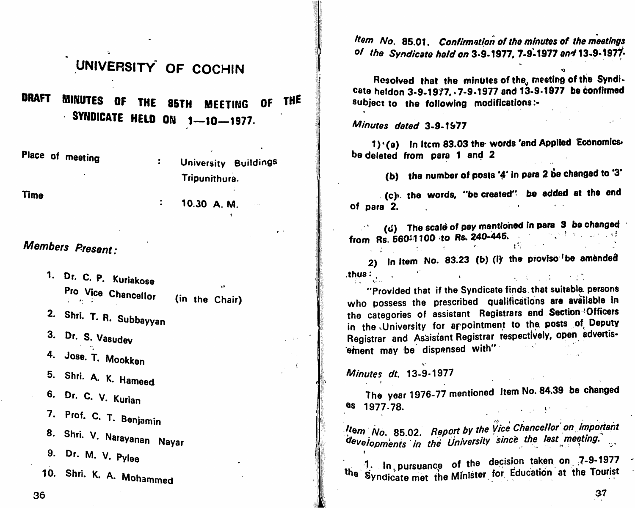## UNIVERSITY OF COCHIN

**DRAFT** MINUTES OF THE 85TH MEETING OF **THE** SYNDICATE HELD ON  $1-10-1977$ .

Place of meeting

 $\ddot{\cdot}$ University Buildings Tripunithura.

10.30 A. M.

 $\frac{1}{2}$  ,  $\frac{1}{2}$  ,  $\frac{1}{2}$ 

**Time** 

Members Present:

1. Dr. C. P. Kuriakose Pro Vice Chancellor (in the Chair) 第二卷 二氯

2. Shri. T. R. Subbayyan

3. Dr. S. Vasudev

4. Jose. T. Mookken

5. Shri. A. K. Hameed

6. Dr. C. V. Kurian

7. Prof. C. T. Benjamin

8. Shri. V. Narayanan Nayar

9. Dr. M. V. Pylee

10. Shri. K. A. Mohammed

Item No. 85.01. Confirmation of the minutes of the meetings of the Syndicate hald on 3-9-1977, 7-9-1977 and 13-9-1977.

Resolved that the minutes of the, meeting of the Syndi-Cate heldon 3-9-1977, 7-9-1977 and 13-9-1977 be confirmed subject to the following modifications:-

Minutes dated 3-9-1977

1) '(a) In Item 83.03 the words 'and Applied Economics. be deleted from para 1 and 2

(b) the number of posts '4' in para 2 be changed to '3'

. (c). the words, "be created" be added at the end of para 2.

(d) The scale of pay mentioned in para 3 be changed from Rs. 560-1100 to Rs. 240-445. 的复数形式 化二氯化二氯化二氯

2) In Item No. 83.23 (b) (i) the proviso be amended thus:  $\frac{1}{2}$  and  $\frac{1}{2}$ **The Community of Community Community** 

"Provided that if the Syndicate finds that suitable persons who possess the prescribed qualifications are available in the categories of assistant Registrars and Section <sup>3</sup> Officers in the University for appointment to the posts of Deputy Registrar and Assistant Registrar respectively, open advertisement may be dispensed with"

Minutes dt. 13-9-1977

The year 1976-77 mentioned Item No. 84.39 be changed as 1977.78.  $\mathcal{L} = \{1, \ldots, L\}$  .

Item No. 85.02. Report by the Vice Chancellor' on important developments in the University since the last meeting.

 $-1$ . In pursuance of the decision taken on 7-9-1977 the Syndicate met the Minister for Education at the Tourist

36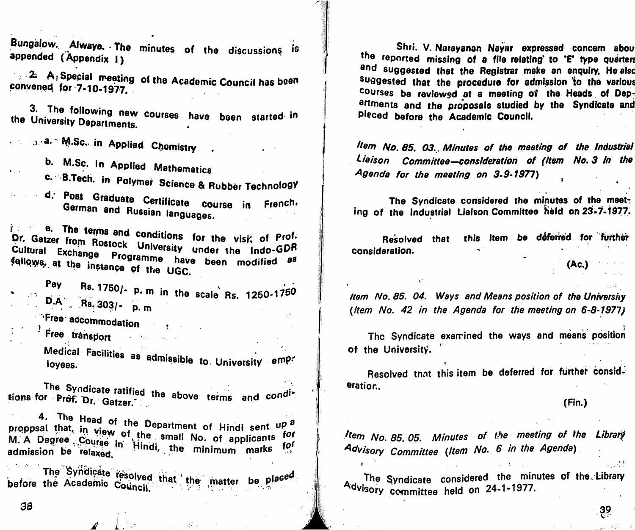Bungalow, Alwaye. The minutes of the discussions is appended (Appendix 1)

 $\rightarrow$  2. A, Special meeting of the Academic Council has been convened for 7-10-1977.

3. The following new courses have been started in the University Departments.

one on a." M.Sc. in Applied Chemistry

b. M.Sc. in Applied Mathematics

c. B.Tech. in Polymer Science & Rubber Technology

d. Post Graduate Certificate course in French. German and Russian languages.

e. The terms and conditions for the visit of Prof. Dr. Gatzer from Rostock University under the Indo-GDR Cultural Exchange Programme have been modified as follows, at the instance of the UGC.

Pay Rs. 1750/- p. m in the scale Rs. 1250-1750  $\overline{D.A}$  Rs. 303/- p. m

 $\bigcirc$ Free accommodation  $\bigcirc$ 

 $\frac{1}{2}$  Free transport

Medical Facilities as admissible to University emp.

The Syndicate ratified the above terms and conditions for Prof. Dr. Gatzer.

4. The Head of the Department of Hindi sent up a proppsal that, in view of the small No. of applicants for M. A Degree Course in Hindi, the minimum marks for admission be relaxed.

The Syndicate resolved that the matter be placed before the Academic Council.

Shri. V. Narayanan Nayar expressed concern about the reported missing of a file relating to "E' type quarters and suggested that the Registrar make an enquiry, He also suggested that the procedure for admission to the various courses be reviewed at a meeting of the Heads of Departments and the proposals studied by the Syndicate and Pleced before the Academic Council.

Item No. 85, 03. Minutes of the meeting of the Industriel Liaison Committee—consideration of (Item No. 3 in the Agenda for the meeting on 3-9-1977)

The Syndicate considered the minutes of the meeting of the Industrial Liaison Committee held on 23-7-1977.

this item be déferred for further Resolved that consideration.

 $(Ac.)$ 

Item No. 85. 04. Ways and Means position of the University (Item No. 42 in the Agenda for the meeting on 6-8-1977)

The Syndicate examined the ways and means position of the University.

Resolved that this item be deferred for further consideration.

 $(Fin.)$ 

<u>ဒ္ဓဓ</u>

Item No. 85, 05. Minutes of the meeting of the Library Advisory Committee (Item No. 6 in the Agenda)

The Syndicate considered the minutes of the Library Advisory committee held on 24-1-1977.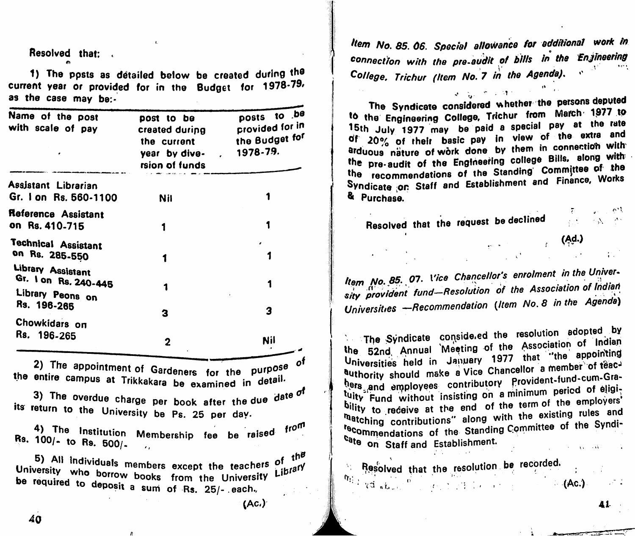Resolved that; .  $\bullet$ 

1) The ppsts as detailed below be created during the current year or provided for in the Budget for 1978-79. as the case may be:-

| Name of the post<br>with scale of pay                         | post to be<br>created during<br>the current<br>year by dive-<br>rsion of funds | posts to .be<br>provided for in<br>the Budget for<br>1978-79. |
|---------------------------------------------------------------|--------------------------------------------------------------------------------|---------------------------------------------------------------|
| Assistant Librarian<br>Gr. 1 on Rs. 560-1100                  | <b>Nil</b>                                                                     |                                                               |
| Reference Assistant<br>on Rs. 410-715                         |                                                                                |                                                               |
| <b>Technical Assistant</b><br>on Rs. 285-550                  |                                                                                |                                                               |
| Library Assistant<br>Gr. I on Rs. 240-445<br>Library Peons on |                                                                                |                                                               |
| Rs. 196-265                                                   | 3                                                                              | 3                                                             |
| Chowkidars on<br>Rs. 196-265                                  | $\mathbf 2$                                                                    | Nil                                                           |

∠y the appointment of Gardeners, for the purpose,<br>the entire campus at Trikkakara be examined in detail

3) The overdue charge per book after the due date  $\sigma^{\text{f}}$ we return to the University be Ps. 25 per day.

4) The Institution Membership fee be raised from **r.s.** 100/- to Rs.  $500/$ - ...

University who borrow books, from the teachers Library be required to denosit a sum of the University  $\sim$  apposit a sum of Rs. 25/- . each. 5) All individuals members except the teachers of the

Item No. 85. 06. Special allowance for additional work in connection with the pre-audit of bills in the Enjineering College, Trichur (Item No. 7 in the Agenda),  $\frac{1}{2}$ 

The Syndicate considered whether the persons deputed<br>to the Engineering College, Trichur from March 1977 to 15th July 1977 may be paid a special pay at the rate  $15$ th July 1977 may be paid a special pay  $20\%$  of their basic pay in view of the envelope  $\frac{1}{2}$ arduous nature of work done by them in connection with the pre-audit of the Engineering college Bills, along with<br>the recommendations of the Standing' Committee of the wie recommendations of the Standing Cornelis Cornelis Cornelis Cornelis Cornelis Cornelis Cornelis Cornelis Cornelis Cornelis Cornelis Cornelis Cornelis Cornelis Cornelis Cornelis Cornelis Cornelis Cornelis Cornelis Cornel Syndicate on Staff and Establishment and Finance, Works & Purchase.

Resolved that the request be declined

o''

'

Item No. 85. 07. Vice Chancellor's enrolment in the University provident fund-Resolution of the Association of Indian Universities - Recommendation (Item No. 8 in the Agenda)

The Syndicate conside ed the resolution adopted by the 52nd Annual Meeting of the Association of Indian Universities held in January 1977 that "the appointing authority should make a Vice Chancellor a member of teacauthority should make a Vice Chancellor a member on<br>http://www.assignation.com/shouldnt-fund-cumhers and employees contributory<br>Null and employees bility to receive at the end of the term of the employers'<br>
matching contributions" along with the existing rules and **Tatching contributions** along with the existence of the Syndi-**Prommondations of the Standing Committee of the System of the System of the System of the System of the System of the System of the System of the System of the System of the System of the System of the System of the Syste** cate on Staff and Establishment.

**Resolved that the resolution be recorded.**  $\psi_{i,j}$  is the first that the lesonation as represented.

41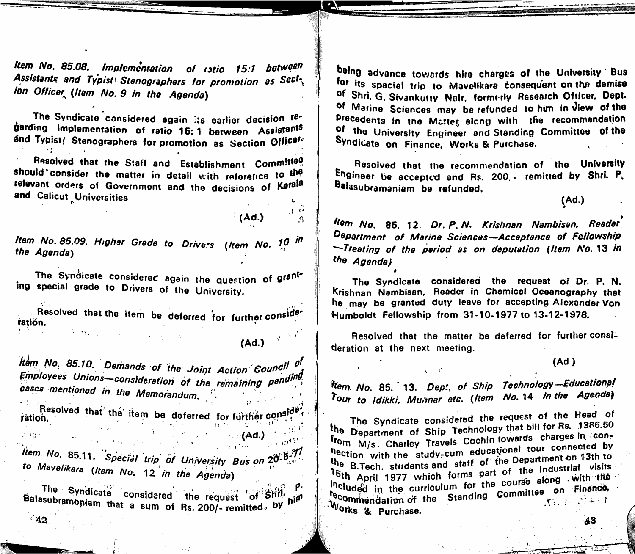Item No. 85.08. Implementation of ratio 15:1 between Assistants and Typist! Stenographers for promotion as Sect, ion Officer (Item No. 9 in the Agenda)

The Syndicate considered again its earlier decision regarding implementation of ratio 15:1 between Assistants and Typist/ Stenographers for promotion as Section Officefe

Resolved that the Staff and Establishment Committee should consider the matter in detail with reference to the relevant orders of Government and the decisions of Kerala and Calicut Universities

Item No. 85.09. Higher Grade to Drivers (Item No. 10 in the Agenday

The Syndicate considered again the question of granting special grade to Drivers of the University.

Resolved that the item be deferred for further consider ration.

 $(Ad.)$ 

 $(Ad.)$ 

Item No. 85.10. Demands of the Joint Action Council of Employees Unions-consideration of the remaining pending cases mentioned in the Memorandum. Resolved that the item be deferred for further consider

ration.  $\label{eq:1} \hat{T}(\cdot,\tau) = \hat{\gamma}(\cdot,\tau) \cdot \hat{\gamma}(\cdot,\tau)$  $\sim$  (Ad.)  $\leq \mathbb{R}^{n^{1/2}}$  $\label{eq:2.1} \mathbb{E}(\mathbf{G}\mathbf{x}) = \mathbb{E}[\mathbf{x}^{\text{max}}_{\mathbf{x}} \mathbf{x}^{\text{max}}_{\mathbf{x}} \mathbf{x}^{\text{max}}_{\mathbf{x}} \mathbf{x}^{\text{max}}_{\mathbf{x}} \mathbf{x}^{\text{max}}_{\mathbf{x}} \mathbf{x}^{\text{max}}_{\mathbf{x}} \mathbf{x}^{\text{max}}_{\mathbf{x}} \mathbf{x}^{\text{max}}_{\mathbf{x}} \mathbf{x}^{\text{max}}_{\mathbf{x}} \mathbf{x}^{\text{max}}_{\mathbf{x}} \mathbf{x}^{\text{max}}_{\mathbf{x}} \$ ltem No. 85.11. Special trip of University Bus on 20 3.71 to Mavelikara (Item No. 12 in the Agenda)

The Syndicate considered the request of Shill Balasubramoniam that a sum of Rs. 200/- remitted, by him  $42$ 

being advance towards hire charges of the University Bus for its special trip to Mavelikara consequent on the demise of Shri. G. Sivankutty Nair. formerly Research Officer. Dept. of Marine Sciences may be refunded to him in View of the Precedents in the Matter along with the recommendation of the University Engineer and Standing Committee of the Syndicate on Finance, Works & Purchase.

Resolved that the recommendation of the University Engineer be accepted and Rs. 200/- remitted by Shri. P. Balasubramaniam be refunded.

 $(Ad.)$ 

llem No. 85. 12. Dr. P. N. Krishnan Nambisan, Reader Department of Marine Sciences-Acceptance of Fellowship -Treating of the period as on deputation (Item N'o. 13 in the Agenda)

The Syndicate considered the request of Dr. P. N. Krishnan Nambisan, Reader in Chemical Oceanography that he may be granted duty leave for accepting Alexander Von Humboldt Fellowship from 31-10-1977 to 13-12-1978.

Resolved that the matter be deferred for further consideration at the next meeting.

 $(Ad)$ 

43

Item No. 85. 13. Dept, of Ship Technology-Educational Tour to Idikki, Mumnar etc. (Item No. 14 in the Agenda)

The Syndicate considered the request of the Head of the Department of Ship Technology that bill for Rs. 1386.50 from M/s. Charley Travels Cochin towards charges in conhection with the study-cum educational tour connected by the B.Tech. students and staff of the Department on 13th to 15th April 1977 which forms part of the Industrial visits included in the curriculum for the course along with the te wuen in the curriculum for the committee on Finance, Works & Purchase.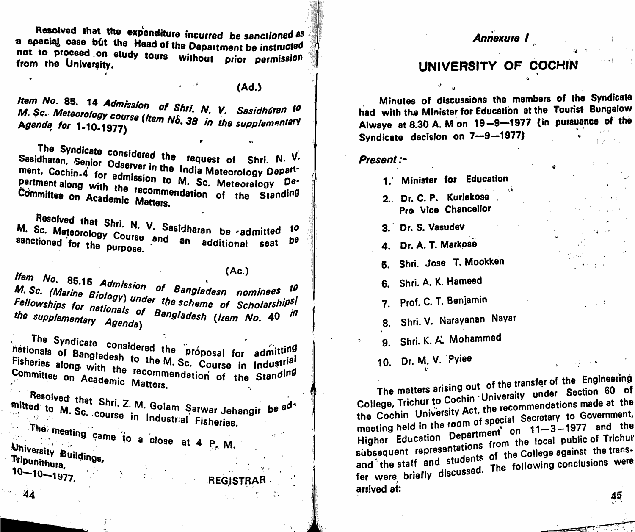Resolved that the expenditure incurred be sanctioned as a special case but the Head of the Department be instructed not to proceed on study tours without prior permission from the University.

 $(Ad.)$ 

Item No. 85. 14 Admission of Shri. N. V. Sasidhéran to M. Sc. Meteorology course (Item No. 38 in the supplementary Agenda for 1-10-1977)

 $\bullet$ 

 $\mathbf{A}$ 

The Syndicate considered the request of Shri. N. V. Sasidharan, Senior Odserver in the India Meteorology Department, Cochin-4 for admission to M. Sc. Meteoralogy Department along with the recommendation of the Standing Committee on Academic Matters.

Resolved that Shri. N. V. Sasidharan be admitted M. Sc. Meteorology Course and an additional seat 10 sanctioned for the purpose.  $b^{\theta}$ 

 $(Ac.)$ 

Ifem No. 85.15 Admission of Bangladesn nominees to M. Sc. (Marine Biology) under the scheme of Scholarships Fellowships for nationals of Bangladesh (Irem No. 40 in the supplementary Agenda)

The Syndicate considered the proposal for admitting nationals of Bangladesh to the M. Sc. Course in Industrial Fisheries along with the recommendation of the Standing Committee on Academic Matters.

. Resolved that Shri. Z. M. Golam Sarwar Jehangir be <sup>ad</sup> <sup>a</sup> mitted to M. Sc. course in Industrial Fisheries.

 $\therefore$  The meeting came to a close at 4 P. M. University Buildings, Tripunithura,  $10 - 10 - 1977$ 

REGISTRAR

## Annexure I

## UNIVERSITY OF COCHIN

Minutes of discussions the members of the Syndicate had with the Minister for Education at the Tourist Bungalow Alwaye at 8.30 A. M on 19-9-1977 (in pursuance of the Syndicate decision on 7-9-1977)

Present:-

- 1. Minister for Education
- 2. Dr. C. P. Kuriakose Pro Vice Chancellor
- 3. Dr. S. Vasudev
- 4. Dr. A. T. Markose
- 5. Shri. Jose T. Mookken
- 6. Shri. A. K. Hameed
- 7. Prof. C. T. Benjamin
- 8. Shri. V. Narayanan Nayar
- 9. Shri. K. A. Mohammed
- 10. Dr. M. V. Pylee

The matters arising out of the transfer of the Engineering College, Trichur to Cochin University under Section 60 of the Cochin University Act, the recommendations made at the meeting held in the room of special Secretary to Government, Higher Education Department on 11-3-1977 and the subsequent representations from the local public of Trichur and the staff and students of the College against the transfer were briefly discussed. The following conclusions were arrived at: 45